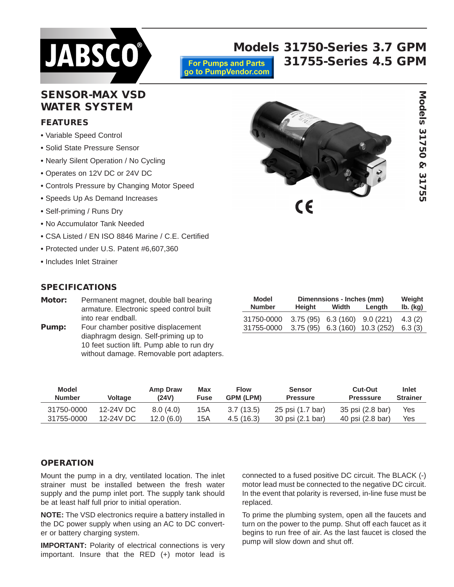

# **SENSOR-MAX VSD WATER SYSTEM**

## **FEATURES**

- **•** Variable Speed Control
- **•** Solid State Pressure Sensor
- **•** Nearly Silent Operation / No Cycling
- **•** Operates on 12V DC or 24V DC
- **•** Controls Pressure by Changing Motor Speed
- Speeds Up As Demand Increases
- Self-priming / Runs Dry
- **•** No Accumulator Tank Needed
- **•** CSA Listed / EN ISO 8846 Marine / C.E. Certified
- **•** Protected under U.S. Patent #6,607,360
- **•** Includes Inlet Strainer

## **SPECIFICATIONS**

- **Motor:** Permanent magnet, double ball bearing armature. Electronic speed control built into rear endball.
- **Pump:** Four chamber positive displacement diaphragm design. Self-priming up to 10 feet suction lift. Pump able to run dry without damage. Removable port adapters.

| Model         | Dimennsions - Inches (mm) |                      |           |          |  |
|---------------|---------------------------|----------------------|-----------|----------|--|
| <b>Number</b> | Height                    | Width                | Length    | lb. (kg) |  |
| 31750-0000    |                           | $3.75(95)$ 6.3 (160) | 9.0(221)  | 4.3(2)   |  |
| 31755-0000    | 3.75(95)                  | 6.3(160)             | 10.3(252) | 6.3(3)   |  |

| Model         | <b>Voltage</b> | Amp Draw  | <b>Max</b> | <b>Flow</b>      | <b>Sensor</b>    | <b>Cut-Out</b>   | <b>Inlet</b>    |
|---------------|----------------|-----------|------------|------------------|------------------|------------------|-----------------|
| <b>Number</b> |                | (24V)     | Fuse       | <b>GPM (LPM)</b> | <b>Pressure</b>  | <b>Presssure</b> | <b>Strainer</b> |
| 31750-0000    | 12-24V DC      | 8.0(4.0)  | 15A        | 3.7(13.5)        | 25 psi (1.7 bar) | 35 psi (2.8 bar) | Yes             |
| 31755-0000    | 12-24V DC      | 12.0(6.0) | 15A        | 4.5(16.3)        | 30 psi (2.1 bar) | 40 psi (2.8 bar) | Yes             |

**For Pumps and Parts** go to PumpVendor.com

## **OPERATION**

Mount the pump in a dry, ventilated location. The inlet strainer must be installed between the fresh water supply and the pump inlet port. The supply tank should be at least half full prior to initial operation.

**NOTE:** The VSD electronics require a battery installed in the DC power supply when using an AC to DC converter or battery charging system.

**IMPORTANT:** Polarity of electrical connections is very important. Insure that the RED (+) motor lead is

connected to a fused positive DC circuit. The BLACK (-) motor lead must be connected to the negative DC circuit. In the event that polarity is reversed, in-line fuse must be replaced.

To prime the plumbing system, open all the faucets and turn on the power to the pump. Shut off each faucet as it begins to run free of air. As the last faucet is closed the pump will slow down and shut off.

**Models 31750-Series 3.7 GPM 31755-Series 4.5 GPM**

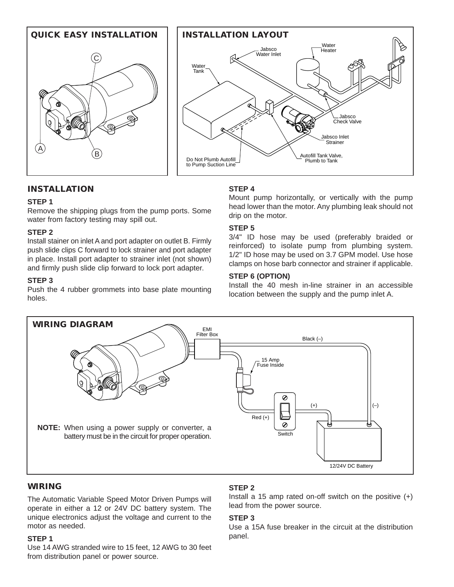



## **INSTALLATION**

## **STEP 1**

Remove the shipping plugs from the pump ports. Some water from factory testing may spill out.

## **STEP 2**

Install stainer on inlet A and port adapter on outlet B. Firmly push slide clips C forward to lock strainer and port adapter in place. Install port adapter to strainer inlet (not shown) and firmly push slide clip forward to lock port adapter.

## **STEP 3**

Push the 4 rubber grommets into base plate mounting holes.

## **STEP 4**

Mount pump horizontally, or vertically with the pump head lower than the motor. Any plumbing leak should not drip on the motor.

## **STEP 5**

3/4" ID hose may be used (preferably braided or reinforced) to isolate pump from plumbing system. 1/2" ID hose may be used on 3.7 GPM model. Use hose clamps on hose barb connector and strainer if applicable.

## **STEP 6 (OPTION)**

Install the 40 mesh in-line strainer in an accessible location between the supply and the pump inlet A.



## **WIRING**

The Automatic Variable Speed Motor Driven Pumps will operate in either a 12 or 24V DC battery system. The unique electronics adjust the voltage and current to the motor as needed.

## **STEP 1**

Use 14 AWG stranded wire to 15 feet, 12 AWG to 30 feet from distribution panel or power source.

## **STEP 2**

Install a 15 amp rated on-off switch on the positive (+) lead from the power source.

## **STEP 3**

Use a 15A fuse breaker in the circuit at the distribution panel.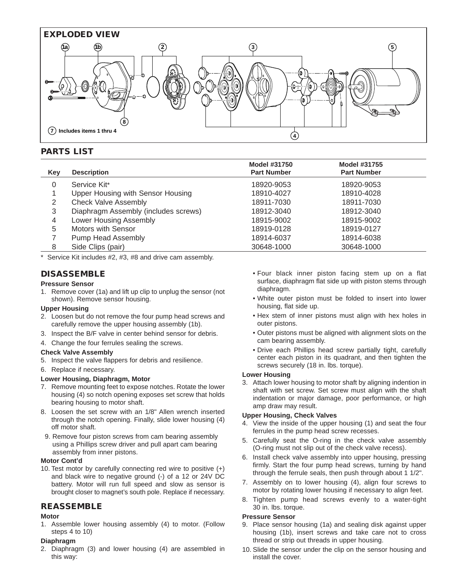

## **PARTS LIST**

|     |                                      | Model #31750       | Model #31755       |  |
|-----|--------------------------------------|--------------------|--------------------|--|
| Key | <b>Description</b>                   | <b>Part Number</b> | <b>Part Number</b> |  |
| 0   | Service Kit*                         | 18920-9053         | 18920-9053         |  |
|     | Upper Housing with Sensor Housing    | 18910-4027         | 18910-4028         |  |
| 2   | <b>Check Valve Assembly</b>          | 18911-7030         | 18911-7030         |  |
| 3   | Diaphragm Assembly (includes screws) | 18912-3040         | 18912-3040         |  |
| 4   | Lower Housing Assembly               | 18915-9002         | 18915-9002         |  |
| 5   | Motors with Sensor                   | 18919-0128         | 18919-0127         |  |
|     | Pump Head Assembly                   | 18914-6037         | 18914-6038         |  |
| 8   | Side Clips (pair)                    | 30648-1000         | 30648-1000         |  |

\* Service Kit includes #2, #3, #8 and drive cam assembly.

## **DISASSEMBLE**

#### **Pressure Sensor**

1. Remove cover (1a) and lift up clip to unplug the sensor (not shown). Remove sensor housing.

#### **Upper Housing**

- 2. Loosen but do not remove the four pump head screws and carefully remove the upper housing assembly (1b).
- 3. Inspect the B/F valve in center behind sensor for debris.
- 4. Change the four ferrules sealing the screws.

#### **Check Valve Assembly**

- 5. Inspect the valve flappers for debris and resilience.
- 6. Replace if necessary.

#### **Lower Housing, Diaphragm, Motor**

- 7. Remove mounting feet to expose notches. Rotate the lower housing (4) so notch opening exposes set screw that holds bearing housing to motor shaft.
- 8. Loosen the set screw with an 1/8" Allen wrench inserted through the notch opening. Finally, slide lower housing (4) off motor shaft.
- 9. Remove four piston screws from cam bearing assembly using a Phillips screw driver and pull apart cam bearing assembly from inner pistons.

### **Motor Cont'd**

10. Test motor by carefully connecting red wire to positive (+) and black wire to negative ground (-) of a 12 or 24V DC battery. Motor will run full speed and slow as sensor is brought closer to magnet's south pole. Replace if necessary.

## **REASSEMBLE**

#### **Motor**

1. Assemble lower housing assembly (4) to motor. (Follow steps 4 to 10)

### **Diaphragm**

2. Diaphragm (3) and lower housing (4) are assembled in this way:

- Four black inner piston facing stem up on a flat surface, diaphragm flat side up with piston stems through diaphragm.
- White outer piston must be folded to insert into lower housing, flat side up.
- Hex stem of inner pistons must align with hex holes in outer pistons.
- Outer pistons must be aligned with alignment slots on the cam bearing assembly.
- Drive each Phillips head screw partially tight, carefully center each piston in its quadrant, and then tighten the screws securely (18 in. lbs. torque).

#### **Lower Housing**

3. Attach lower housing to motor shaft by aligning indention in shaft with set screw. Set screw must align with the shaft indentation or major damage, poor performance, or high amp draw may result.

## **Upper Housing, Check Valves**

- 4. View the inside of the upper housing (1) and seat the four ferrules in the pump head screw recesses.
- 5. Carefully seat the O-ring in the check valve assembly (O-ring must not slip out of the check valve recess).
- 6. Install check valve assembly into upper housing, pressing firmly. Start the four pump head screws, turning by hand through the ferrule seals, then push through about 1 1/2".
- 7. Assembly on to lower housing (4), align four screws to motor by rotating lower housing if necessary to align feet.
- 8. Tighten pump head screws evenly to a water-tight 30 in. lbs. torque.

#### **Pressure Sensor**

- 9. Place sensor housing (1a) and sealing disk against upper housing (1b), insert screws and take care not to cross thread or strip out threads in upper housing.
- 10. Slide the sensor under the clip on the sensor housing and install the cover.